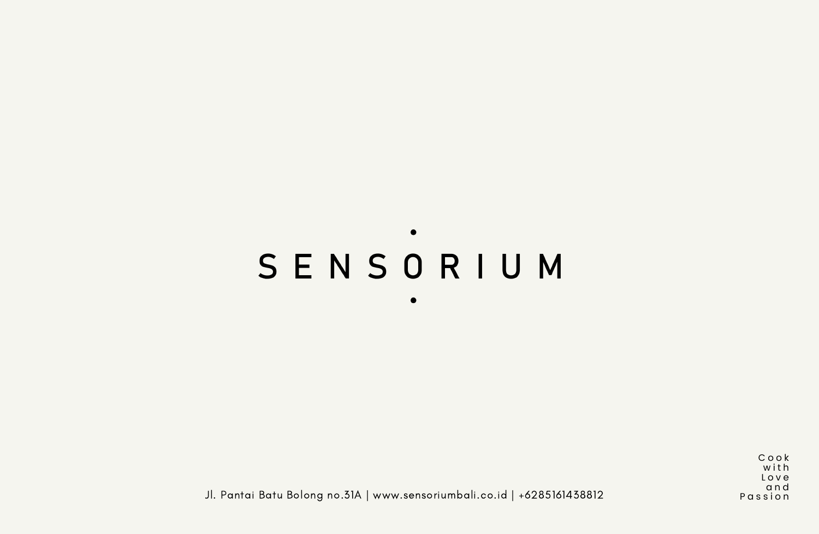# $\bullet$ SENSORIUM

 $\bullet$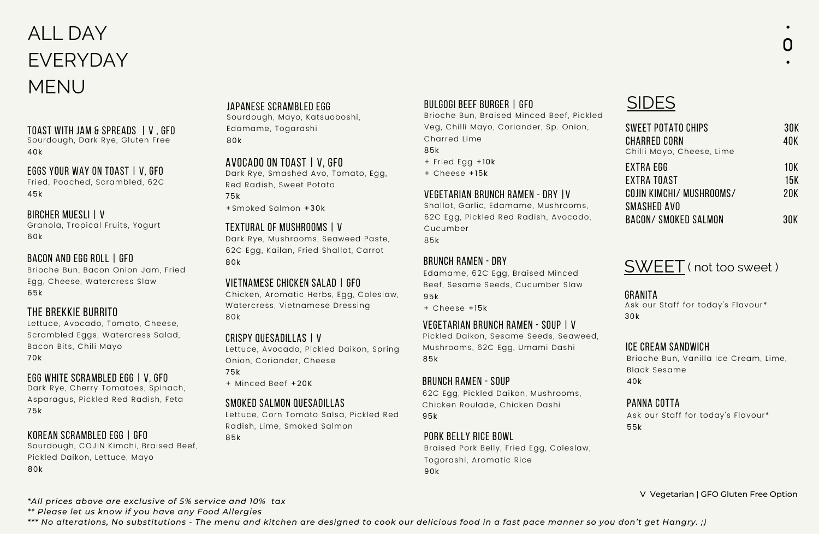# ALL DAY EVERYDAY MENU

#### toast with jam & spreads | v , gfo

Sourdough, Dark Rye, Gluten Free 40k

#### eggs your way on toast | v, gfo

Fried, Poached, Scrambled, 62C 45k

#### bircher muesli | v

Granola, Tropical Fruits, Yogurt 60k

#### bACON AND EGG ROLL | gfo

Brioche Bun, Bacon Onion Jam, Fried Egg, Cheese, Watercress Slaw 65k

#### the brekkie burrito

Lettuce, Avocado, Tomato, Cheese, Scrambled Eggs, Watercress Salad, Bacon Bits, Chili Mayo 70k

#### egg white scrambled egg | v, gfo

Dark Rye, Cherry Tomatoes, Spinach, Asparagus, Pickled Red Radish, Feta 75k

#### korean scrambled Egg | gfo

Sourdough, COJIN Kimchi, Braised Beef, Pickled Daikon, Lettuce, Mayo 80k

#### japanese scrambled Egg

Sourdough, Mayo, Katsuoboshi, Edamame, Togarashi 80k

#### Avocado on toast | v, gfo

Dark Rye, Smashed Avo, Tomato, Egg, Red Radish, Sweet Potato 75k

+Smoked Salmon +30k

#### textural of mushrooms | v

Dark Rye, Mushrooms, Seaweed Paste, 62C Egg, Kailan, Fried Shallot, Carrot 80k

#### Vietnamese chicken salad | GFo

Chicken, Aromatic Herbs, Egg, Coleslaw, Watercress, Vietnamese Dressing 80k

#### crispy quesadillas | v

Lettuce, Avocado, Pickled Daikon, Spring Onion, Coriander, Cheese

#### 75k

+ Minced Beef +20K

#### Smoked Salmon quesadillas

Lettuce, Corn Tomato Salsa, Pickled Red Radish, Lime, Smoked Salmon

85k

#### Bulgogi beef burger | gfo

Brioche Bun, Braised Minced Beef, Pickled Veg, Chilli Mayo, Coriander, Sp. Onion, Charred Lime

85k

- + Fried Egg +10k
- + Cheese +15k

#### vegetarian brunch ramen - dry |v

Shallot, Garlic, Edamame, Mushrooms, 62C Egg, Pickled Red Radish, Avocado, Cucumber 85k

#### brunch ramen - dry

Edamame, 62C Egg, Braised Minced Beef, Sesame Seeds, Cucumber Slaw 95k

+ Cheese +15k

#### Vegetarian brunch ramen - soup | v

Pickled Daikon, Sesame Seeds, Seaweed, Mushrooms, 62C Egg, Umami Dashi 85k

#### brunch ramen - soup

62C Egg, Pickled Daikon, Mushrooms, Chicken Roulade, Chicken Dashi 95k

#### Pork Belly Rice Bowl

Braised Pork Belly, Fried Egg, Coleslaw, Togorashi, Aromatic Rice 90k

# **SIDES**

| <b>SWEET POTATO CHIPS</b><br><b>CHARRED CORN</b><br>Chilli Mayo, Cheese, Lime | 30K<br>40K        |
|-------------------------------------------------------------------------------|-------------------|
| EXTRA EGG<br>EXTRA TOAST<br>COJIN KIMCHI/ MUSHROOMS/<br>SMASHED AVO           | 10K<br>15K<br>20K |
| <b>BACON/ SMOKED SALMON</b>                                                   | 30K               |



#### **GRANITA**

Ask our Staff for today's Flavour\* 30k

#### ice cream sandwich

Brioche Bun, Vanilla Ice Cream, Lime, Black Sesame 40k

#### panna cotta

Ask our Staff for today's Flavour\* 55k

V Vegetarian | GFO Gluten Free Option

*\*All prices above are exclusive of 5% service and 10% tax*

*\*\* Please let us know if you have any Food Allergies*

\*\*\* No alterations, No substitutions - The menu and kitchen are designed to cook our delicious food in a fast pace manner so you don't get Hangry. ;)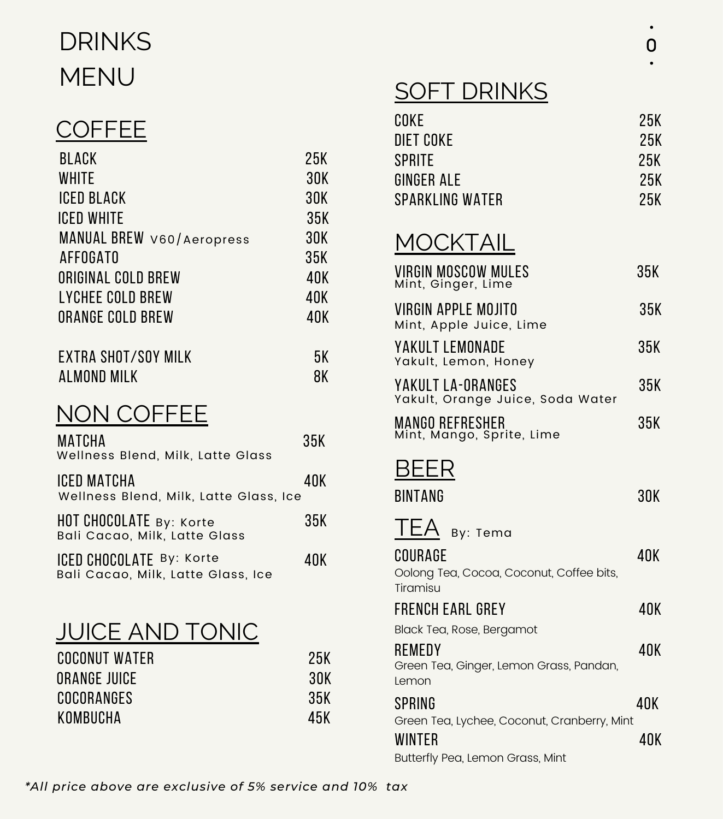# DRINKS MENU

#### **COFFEE**

| <b>BLACK</b>              | 25K |
|---------------------------|-----|
| <b>WHITE</b>              | 30K |
| ICED BLACK                | 30K |
| ICED WHITE                | 35K |
| MANUAL BREW V60/Aeropress | 30K |
| AFFOGATO                  | 35K |
| ORIGINAL COLD BREW        | 40K |
| LYCHEE COLD BREW          | 40K |
| ORANGE COLD BREW          | 40K |
|                           |     |
| EXTRA SHOT/SOY MILK       | 5К  |

almond milk 8k

## NON COFFEE

| MATCHA<br>Wellness Blend, Milk, Latte Glass                    | 35K |
|----------------------------------------------------------------|-----|
| ICED MATCHA<br>Wellness Blend, Milk, Latte Glass, Ice          | 40K |
| HOT CHOCOLATE By: Korte<br>Bali Cacao, Milk, Latte Glass       | 35K |
| ICED CHOCOLATE By: Korte<br>Bali Cacao, Milk, Latte Glass, Ice | 40K |

## JUICE AND TONIC

| COCONUT WATER | 25K |
|---------------|-----|
| ORANGE JUICE  | 30K |
| COCORANGES    | 35K |
| KOMBUCHA      | 45K |

## **SOFT DRINKS**

| COKE<br><b>DIET COKE</b><br>SPRITE<br>GINGER ALE<br>SPARKLING WATER    | 25K<br>25K<br>25K<br>25K<br>25K |
|------------------------------------------------------------------------|---------------------------------|
| MOCKTAIL                                                               |                                 |
| VIRGIN MOSCOW MULES<br>Mint, Ginger, Lime                              | 35K                             |
| VIRGIN APPLE MOJITO<br>Mint, Apple Juice, Lime                         | 35K                             |
| YAKULT LEMONADE<br>Yakult, Lemon, Honey                                | 35K                             |
| YAKULT LA-ORANGES<br>Yakult, Orange Juice, Soda Water                  | 35K                             |
| MANGO REFRESHER<br>Mint, Mango, Sprite, Lime                           | 35K                             |
| BEER                                                                   |                                 |
| <b>RINTANG</b>                                                         | 30K                             |
| TEA<br>By: Tema<br>COURAGE<br>Oolong Tea, Cocoa, Coconut, Coffee bits, | 40K                             |
| Tiramisu<br>FRENCH FARL GREY                                           | 40K                             |
| Black Tea, Rose, Bergamot<br>REMEDY                                    | 40K                             |
| Green Tea, Ginger, Lemon Grass, Pandan,<br>Lemon                       |                                 |
| SPRING                                                                 | 40K                             |
| Green Tea, Lychee, Coconut, Cranberry, Mint<br><b>WINTER</b>           | 40K                             |
| Butterfly Pea, Lemon Grass, Mint                                       |                                 |

*\*All price above are exclusive of 5% service and 10% tax*